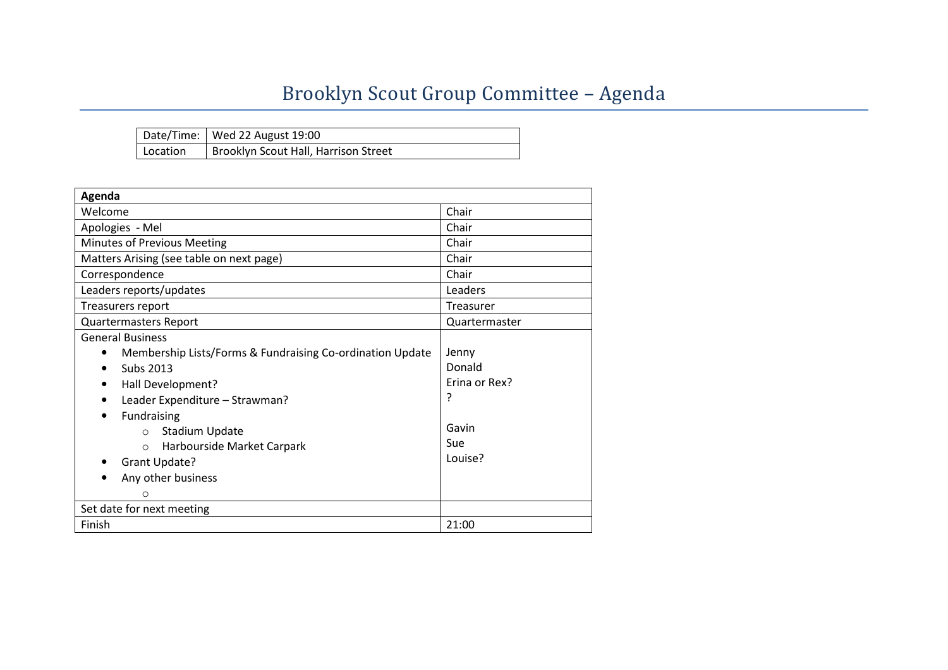# Brooklyn Scout Group Committee - Agenda

|          | Date/Time:   Wed 22 August 19:00     |
|----------|--------------------------------------|
| Location | Brooklyn Scout Hall, Harrison Street |

| Agenda                                                                  |               |  |  |  |  |  |  |
|-------------------------------------------------------------------------|---------------|--|--|--|--|--|--|
| Welcome                                                                 | Chair         |  |  |  |  |  |  |
| Apologies - Mel                                                         | Chair         |  |  |  |  |  |  |
| Minutes of Previous Meeting                                             | Chair         |  |  |  |  |  |  |
| Matters Arising (see table on next page)                                | Chair         |  |  |  |  |  |  |
| Correspondence                                                          | Chair         |  |  |  |  |  |  |
| Leaders reports/updates                                                 | Leaders       |  |  |  |  |  |  |
| Treasurers report                                                       | Treasurer     |  |  |  |  |  |  |
| <b>Quartermasters Report</b>                                            | Quartermaster |  |  |  |  |  |  |
| <b>General Business</b>                                                 |               |  |  |  |  |  |  |
| Jenny<br>Membership Lists/Forms & Fundraising Co-ordination Update<br>٠ |               |  |  |  |  |  |  |
| Donald<br>Subs 2013                                                     |               |  |  |  |  |  |  |
| Frina or Rex?<br>Hall Development?                                      |               |  |  |  |  |  |  |
| ?<br>Leader Expenditure - Strawman?                                     |               |  |  |  |  |  |  |
| Fundraising<br>$\bullet$                                                |               |  |  |  |  |  |  |
| <b>Stadium Update</b><br>$\circ$                                        | Gavin         |  |  |  |  |  |  |
| Sue<br>Harbourside Market Carpark<br>$\circ$                            |               |  |  |  |  |  |  |
| Louise?<br>Grant Update?                                                |               |  |  |  |  |  |  |
| Any other business                                                      |               |  |  |  |  |  |  |
| Ω                                                                       |               |  |  |  |  |  |  |
| Set date for next meeting                                               |               |  |  |  |  |  |  |
| Finish                                                                  | 21:00         |  |  |  |  |  |  |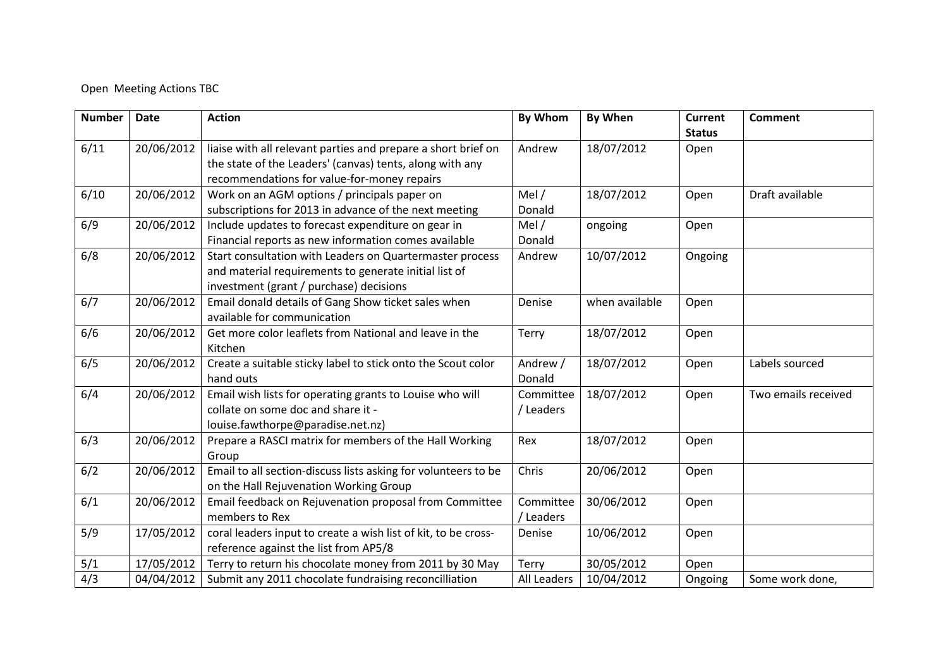#### Open Meeting Actions TBC

| <b>Number</b> | <b>Date</b> | <b>Action</b>                                                  | <b>By Whom</b> | <b>By When</b> | <b>Current</b> | <b>Comment</b>      |
|---------------|-------------|----------------------------------------------------------------|----------------|----------------|----------------|---------------------|
|               |             |                                                                |                |                | <b>Status</b>  |                     |
| 6/11          | 20/06/2012  | liaise with all relevant parties and prepare a short brief on  | Andrew         | 18/07/2012     | Open           |                     |
|               |             | the state of the Leaders' (canvas) tents, along with any       |                |                |                |                     |
|               |             | recommendations for value-for-money repairs                    |                |                |                |                     |
| 6/10          | 20/06/2012  | Work on an AGM options / principals paper on                   | Mel $/$        | 18/07/2012     | Open           | Draft available     |
|               |             | subscriptions for 2013 in advance of the next meeting          | Donald         |                |                |                     |
| 6/9           | 20/06/2012  | Include updates to forecast expenditure on gear in             | Mel $/$        | ongoing        | Open           |                     |
|               |             | Financial reports as new information comes available           | Donald         |                |                |                     |
| 6/8           | 20/06/2012  | Start consultation with Leaders on Quartermaster process       | Andrew         | 10/07/2012     | Ongoing        |                     |
|               |             | and material requirements to generate initial list of          |                |                |                |                     |
|               |             | investment (grant / purchase) decisions                        |                |                |                |                     |
| 6/7           | 20/06/2012  | Email donald details of Gang Show ticket sales when            | Denise         | when available | Open           |                     |
|               |             | available for communication                                    |                |                |                |                     |
| 6/6           | 20/06/2012  | Get more color leaflets from National and leave in the         | Terry          | 18/07/2012     | Open           |                     |
|               |             | Kitchen                                                        |                |                |                |                     |
| 6/5           | 20/06/2012  | Create a suitable sticky label to stick onto the Scout color   | Andrew /       | 18/07/2012     | Open           | Labels sourced      |
|               |             | hand outs                                                      | Donald         |                |                |                     |
| 6/4           | 20/06/2012  | Email wish lists for operating grants to Louise who will       | Committee      | 18/07/2012     | Open           | Two emails received |
|               |             | collate on some doc and share it -                             | / Leaders      |                |                |                     |
|               |             | louise.fawthorpe@paradise.net.nz)                              |                |                |                |                     |
| 6/3           | 20/06/2012  | Prepare a RASCI matrix for members of the Hall Working         | Rex            | 18/07/2012     | Open           |                     |
|               |             | Group                                                          |                |                |                |                     |
| 6/2           | 20/06/2012  | Email to all section-discuss lists asking for volunteers to be | Chris          | 20/06/2012     | Open           |                     |
|               |             | on the Hall Rejuvenation Working Group                         |                |                |                |                     |
| 6/1           | 20/06/2012  | Email feedback on Rejuvenation proposal from Committee         | Committee      | 30/06/2012     | Open           |                     |
|               |             | members to Rex                                                 | / Leaders      |                |                |                     |
| 5/9           | 17/05/2012  | coral leaders input to create a wish list of kit, to be cross- | Denise         | 10/06/2012     | Open           |                     |
|               |             | reference against the list from AP5/8                          |                |                |                |                     |
| 5/1           | 17/05/2012  | Terry to return his chocolate money from 2011 by 30 May        | Terry          | 30/05/2012     | Open           |                     |
| 4/3           | 04/04/2012  | Submit any 2011 chocolate fundraising reconcilliation          | All Leaders    | 10/04/2012     | Ongoing        | Some work done,     |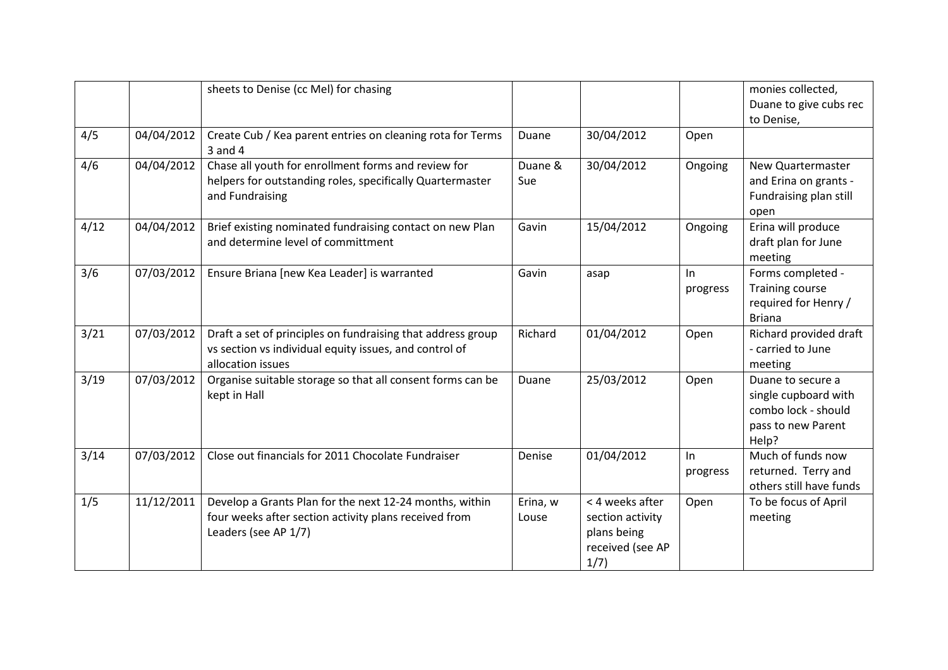|      |            | sheets to Denise (cc Mel) for chasing                                                                                                      |                                         |                                                                                |                | monies collected,<br>Duane to give cubs rec<br>to Denise,                                       |  |  |  |  |  |  |
|------|------------|--------------------------------------------------------------------------------------------------------------------------------------------|-----------------------------------------|--------------------------------------------------------------------------------|----------------|-------------------------------------------------------------------------------------------------|--|--|--|--|--|--|
| 4/5  | 04/04/2012 | Create Cub / Kea parent entries on cleaning rota for Terms<br>$3$ and $4$                                                                  | Duane                                   | 30/04/2012                                                                     | Open           |                                                                                                 |  |  |  |  |  |  |
| 4/6  | 04/04/2012 | Chase all youth for enrollment forms and review for<br>helpers for outstanding roles, specifically Quartermaster<br>and Fundraising        | 30/04/2012<br>Duane &<br>Ongoing<br>Sue |                                                                                |                |                                                                                                 |  |  |  |  |  |  |
| 4/12 | 04/04/2012 | Brief existing nominated fundraising contact on new Plan<br>and determine level of committment                                             | Gavin                                   | 15/04/2012                                                                     | Ongoing        | Erina will produce<br>draft plan for June<br>meeting                                            |  |  |  |  |  |  |
| 3/6  | 07/03/2012 | Ensure Briana [new Kea Leader] is warranted                                                                                                | Gavin                                   | asap                                                                           | In<br>progress | Forms completed -<br><b>Training course</b><br>required for Henry /<br><b>Briana</b>            |  |  |  |  |  |  |
| 3/21 | 07/03/2012 | Draft a set of principles on fundraising that address group<br>vs section vs individual equity issues, and control of<br>allocation issues | Richard                                 | 01/04/2012                                                                     | Open           | Richard provided draft<br>- carried to June<br>meeting                                          |  |  |  |  |  |  |
| 3/19 | 07/03/2012 | Organise suitable storage so that all consent forms can be<br>kept in Hall                                                                 | Duane                                   | 25/03/2012                                                                     | Open           | Duane to secure a<br>single cupboard with<br>combo lock - should<br>pass to new Parent<br>Help? |  |  |  |  |  |  |
| 3/14 | 07/03/2012 | Close out financials for 2011 Chocolate Fundraiser                                                                                         | Denise                                  | 01/04/2012                                                                     | In<br>progress | Much of funds now<br>returned. Terry and<br>others still have funds                             |  |  |  |  |  |  |
| 1/5  | 11/12/2011 | Develop a Grants Plan for the next 12-24 months, within<br>four weeks after section activity plans received from<br>Leaders (see AP 1/7)   | Erina, w<br>Louse                       | < 4 weeks after<br>section activity<br>plans being<br>received (see AP<br>1/7) | Open           | To be focus of April<br>meeting                                                                 |  |  |  |  |  |  |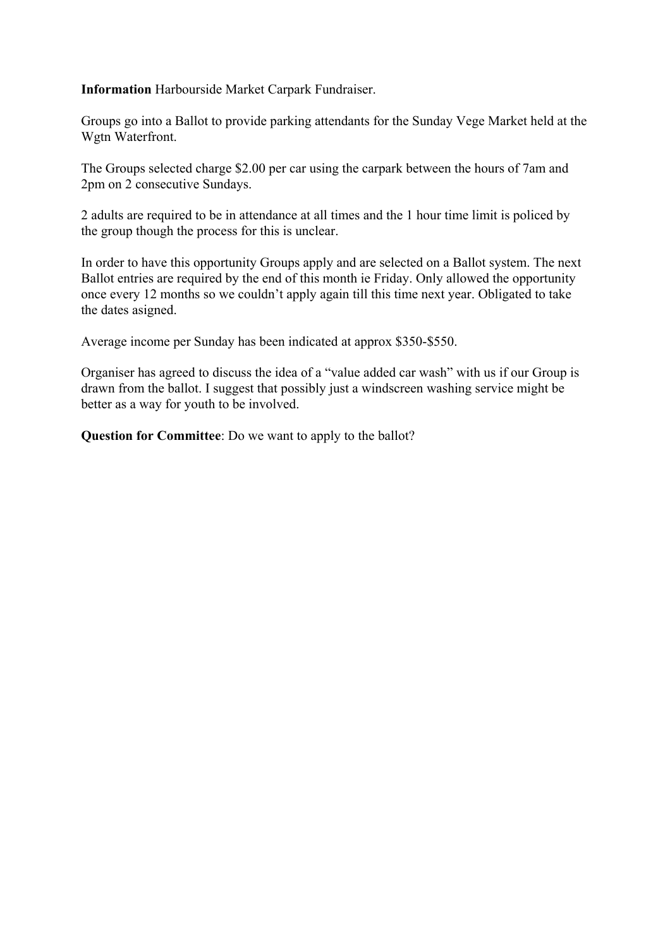#### **Information** Harbourside Market Carpark Fundraiser.

Groups go into a Ballot to provide parking attendants for the Sunday Vege Market held at the Wgtn Waterfront.

The Groups selected charge \$2.00 per car using the carpark between the hours of 7am and 2pm on 2 consecutive Sundays.

2 adults are required to be in attendance at all times and the 1 hour time limit is policed by the group though the process for this is unclear.

In order to have this opportunity Groups apply and are selected on a Ballot system. The next Ballot entries are required by the end of this month ie Friday. Only allowed the opportunity once every 12 months so we couldn't apply again till this time next year. Obligated to take the dates asigned.

Average income per Sunday has been indicated at approx \$350-\$550.

Organiser has agreed to discuss the idea of a "value added car wash" with us if our Group is drawn from the ballot. I suggest that possibly just a windscreen washing service might be better as a way for youth to be involved.

**Question for Committee**: Do we want to apply to the ballot?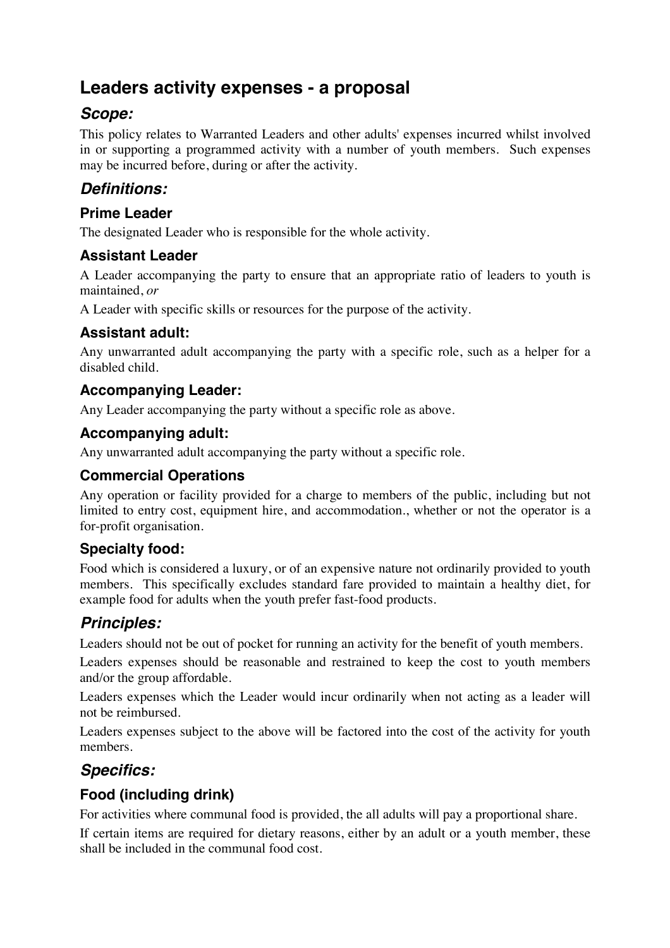# **Leaders activity expenses - a proposal**

## *Scope:*

This policy relates to Warranted Leaders and other adults' expenses incurred whilst involved in or supporting a programmed activity with a number of youth members. Such expenses may be incurred before, during or after the activity.

# *Definitions:*

## **Prime Leader**

The designated Leader who is responsible for the whole activity.

## **Assistant Leader**

A Leader accompanying the party to ensure that an appropriate ratio of leaders to youth is maintained, *or*

A Leader with specific skills or resources for the purpose of the activity.

## **Assistant adult:**

Any unwarranted adult accompanying the party with a specific role, such as a helper for a disabled child.

## **Accompanying Leader:**

Any Leader accompanying the party without a specific role as above.

## **Accompanying adult:**

Any unwarranted adult accompanying the party without a specific role.

## **Commercial Operations**

Any operation or facility provided for a charge to members of the public, including but not limited to entry cost, equipment hire, and accommodation., whether or not the operator is a for-profit organisation.

## **Specialty food:**

Food which is considered a luxury, or of an expensive nature not ordinarily provided to youth members. This specifically excludes standard fare provided to maintain a healthy diet, for example food for adults when the youth prefer fast-food products.

# *Principles:*

Leaders should not be out of pocket for running an activity for the benefit of youth members.

Leaders expenses should be reasonable and restrained to keep the cost to youth members and/or the group affordable.

Leaders expenses which the Leader would incur ordinarily when not acting as a leader will not be reimbursed.

Leaders expenses subject to the above will be factored into the cost of the activity for youth members.

## *Specifics:*

## **Food (including drink)**

For activities where communal food is provided, the all adults will pay a proportional share.

If certain items are required for dietary reasons, either by an adult or a youth member, these shall be included in the communal food cost.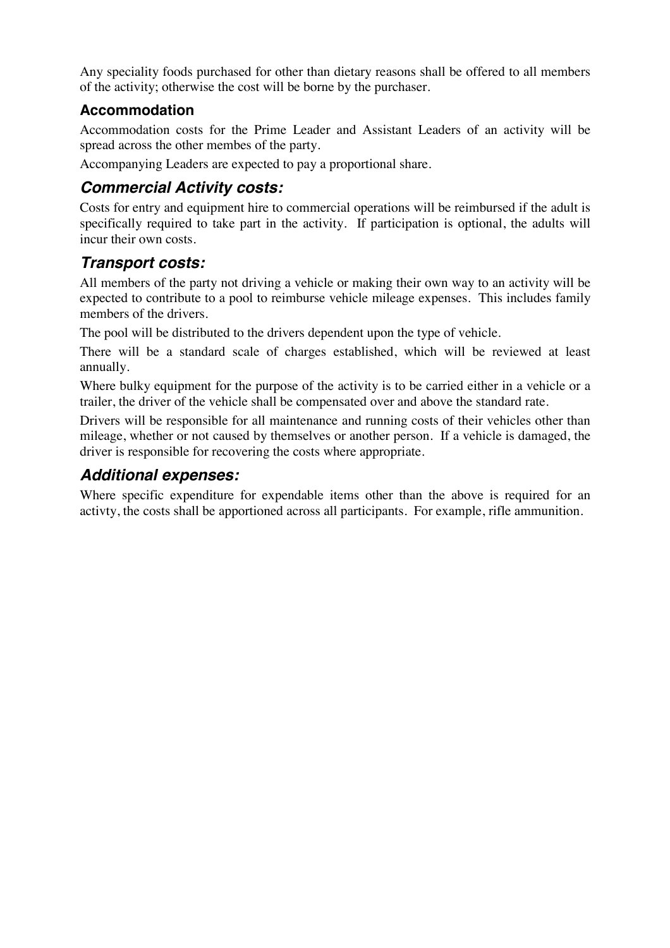Any speciality foods purchased for other than dietary reasons shall be offered to all members of the activity; otherwise the cost will be borne by the purchaser.

## **Accommodation**

Accommodation costs for the Prime Leader and Assistant Leaders of an activity will be spread across the other membes of the party.

Accompanying Leaders are expected to pay a proportional share.

## *Commercial Activity costs:*

Costs for entry and equipment hire to commercial operations will be reimbursed if the adult is specifically required to take part in the activity. If participation is optional, the adults will incur their own costs.

## *Transport costs:*

All members of the party not driving a vehicle or making their own way to an activity will be expected to contribute to a pool to reimburse vehicle mileage expenses. This includes family members of the drivers.

The pool will be distributed to the drivers dependent upon the type of vehicle.

There will be a standard scale of charges established, which will be reviewed at least annually.

Where bulky equipment for the purpose of the activity is to be carried either in a vehicle or a trailer, the driver of the vehicle shall be compensated over and above the standard rate.

Drivers will be responsible for all maintenance and running costs of their vehicles other than mileage, whether or not caused by themselves or another person. If a vehicle is damaged, the driver is responsible for recovering the costs where appropriate.

## *Additional expenses:*

Where specific expenditure for expendable items other than the above is required for an activty, the costs shall be apportioned across all participants. For example, rifle ammunition.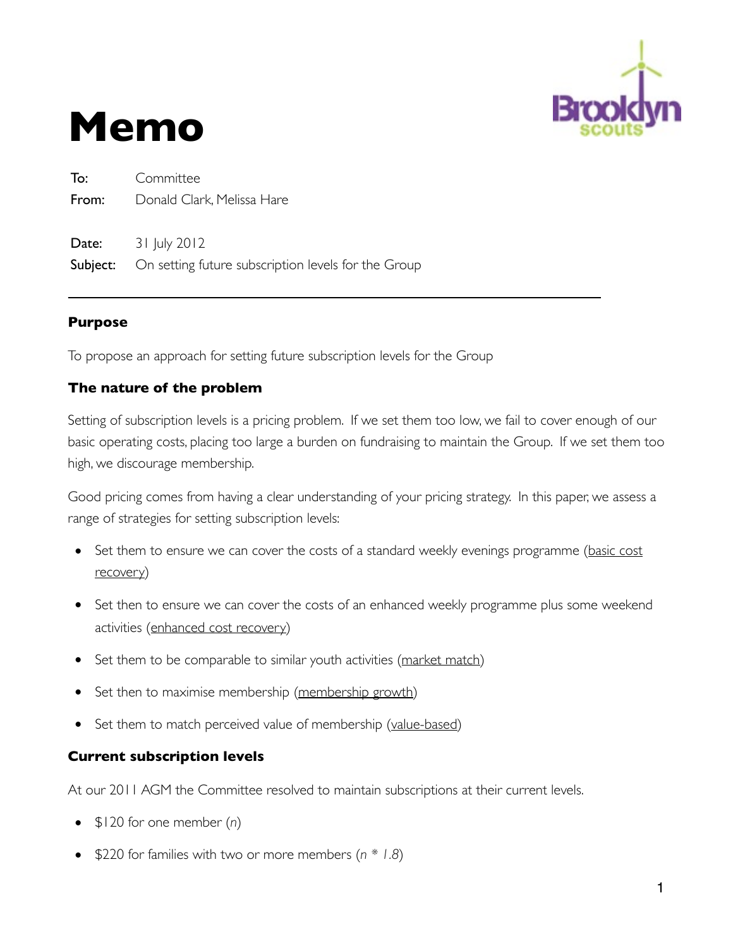

# **Memo**

To: Committee From: Donald Clark, Melissa Hare **Date:** 31 July 2012 **Subject:** On setting future subscription levels for the Group

#### **Purpose**

To propose an approach for setting future subscription levels for the Group

## **The nature of the problem**

Setting of subscription levels is a pricing problem. If we set them too low, we fail to cover enough of our basic operating costs, placing too large a burden on fundraising to maintain the Group. If we set them too high, we discourage membership.

Good pricing comes from having a clear understanding of your pricing strategy. In this paper, we assess a range of strategies for setting subscription levels:

- Set them to ensure we can cover the costs of a standard weekly evenings programme (basic cost recovery)
- Set then to ensure we can cover the costs of an enhanced weekly programme plus some weekend activities (enhanced cost recovery)
- Set them to be comparable to similar youth activities (market match)
- Set then to maximise membership (membership growth)
- Set them to match perceived value of membership (value-based)

#### **Current subscription levels**

At our 2011 AGM the Committee resolved to maintain subscriptions at their current levels.

- \$120 for one member (*n*)
- \$220 for families with two or more members (*n \* 1.8*)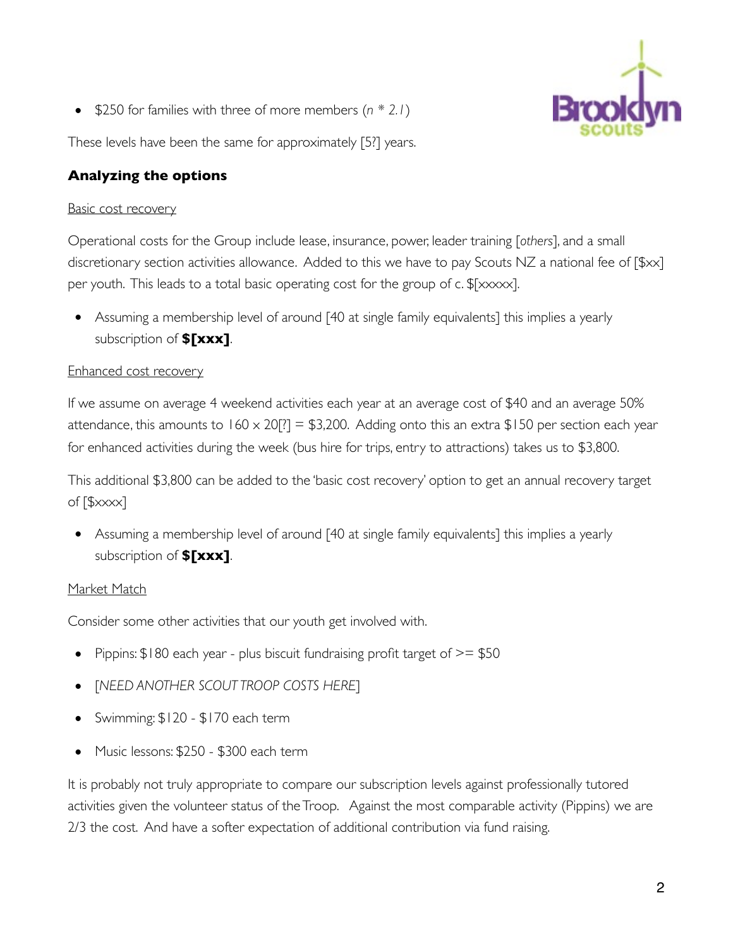• \$250 for families with three of more members (*n \* 2.1*)

These levels have been the same for approximately [5?] years.

## **Analyzing the options**

## Basic cost recovery

Operational costs for the Group include lease, insurance, power, leader training [*others*], and a small discretionary section activities allowance. Added to this we have to pay Scouts NZ a national fee of [\$xx] per youth. This leads to a total basic operating cost for the group of c. \$[xxxxx].

• Assuming a membership level of around [40 at single family equivalents] this implies a yearly subscription of **\$[xxx]**.

## Enhanced cost recovery

If we assume on average 4 weekend activities each year at an average cost of \$40 and an average 50% attendance, this amounts to  $160 \times 20$ [?] = \$3,200. Adding onto this an extra \$150 per section each year for enhanced activities during the week (bus hire for trips, entry to attractions) takes us to \$3,800.

This additional \$3,800 can be added to the 'basic cost recovery' option to get an annual recovery target of [\$xxxx]

• Assuming a membership level of around [40 at single family equivalents] this implies a yearly subscription of **\$[xxx]**.

## Market Match

Consider some other activities that our youth get involved with.

- Pippins:  $$180$  each year plus biscuit fundraising profit target of  $>=$  \$50
- [*NEED ANOTHER SCOUT TROOP COSTS HERE*]
- Swimming: \$120 \$170 each term
- Music lessons: \$250 \$300 each term

It is probably not truly appropriate to compare our subscription levels against professionally tutored activities given the volunteer status of the Troop. Against the most comparable activity (Pippins) we are 2/3 the cost. And have a softer expectation of additional contribution via fund raising.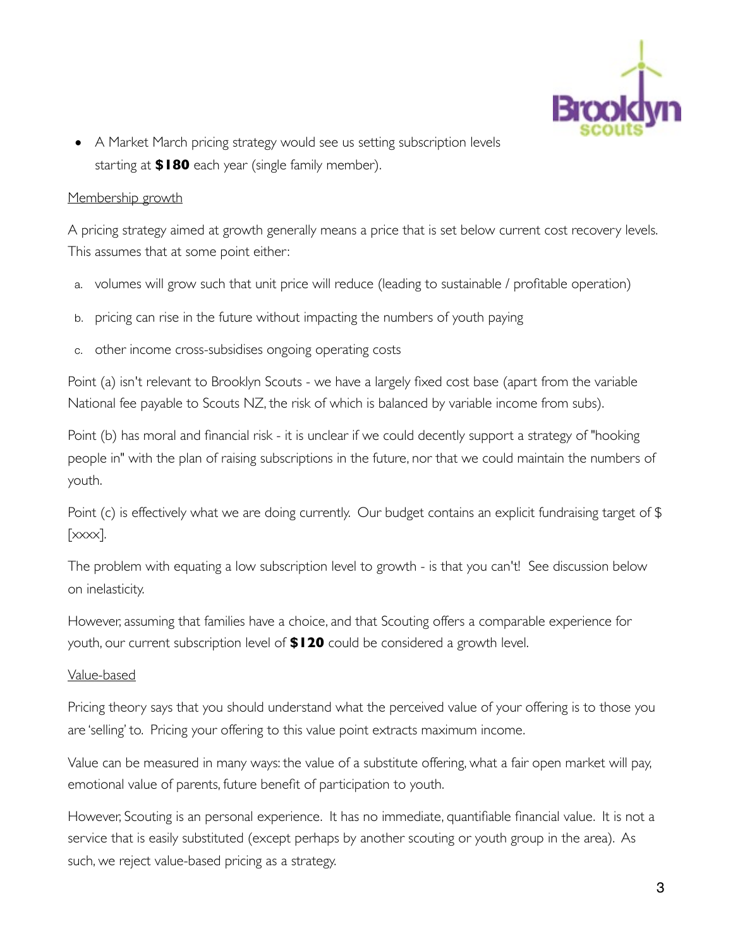

• A Market March pricing strategy would see us setting subscription levels starting at **\$180** each year (single family member).

#### Membership growth

A pricing strategy aimed at growth generally means a price that is set below current cost recovery levels. This assumes that at some point either:

- a. volumes will grow such that unit price will reduce (leading to sustainable / profitable operation)
- b. pricing can rise in the future without impacting the numbers of youth paying
- c. other income cross-subsidises ongoing operating costs

Point (a) isn't relevant to Brooklyn Scouts - we have a largely fixed cost base (apart from the variable National fee payable to Scouts NZ, the risk of which is balanced by variable income from subs).

Point (b) has moral and financial risk - it is unclear if we could decently support a strategy of "hooking people in" with the plan of raising subscriptions in the future, nor that we could maintain the numbers of youth.

Point (c) is effectively what we are doing currently. Our budget contains an explicit fundraising target of \$  $[xxxx]$ .

The problem with equating a low subscription level to growth - is that you can't! See discussion below on inelasticity.

However, assuming that families have a choice, and that Scouting offers a comparable experience for youth, our current subscription level of **\$120** could be considered a growth level.

#### Value-based

Pricing theory says that you should understand what the perceived value of your offering is to those you are 'selling' to. Pricing your offering to this value point extracts maximum income.

Value can be measured in many ways: the value of a substitute offering, what a fair open market will pay, emotional value of parents, future benefit of participation to youth.

However, Scouting is an personal experience. It has no immediate, quantifiable financial value. It is not a service that is easily substituted (except perhaps by another scouting or youth group in the area). As such, we reject value-based pricing as a strategy.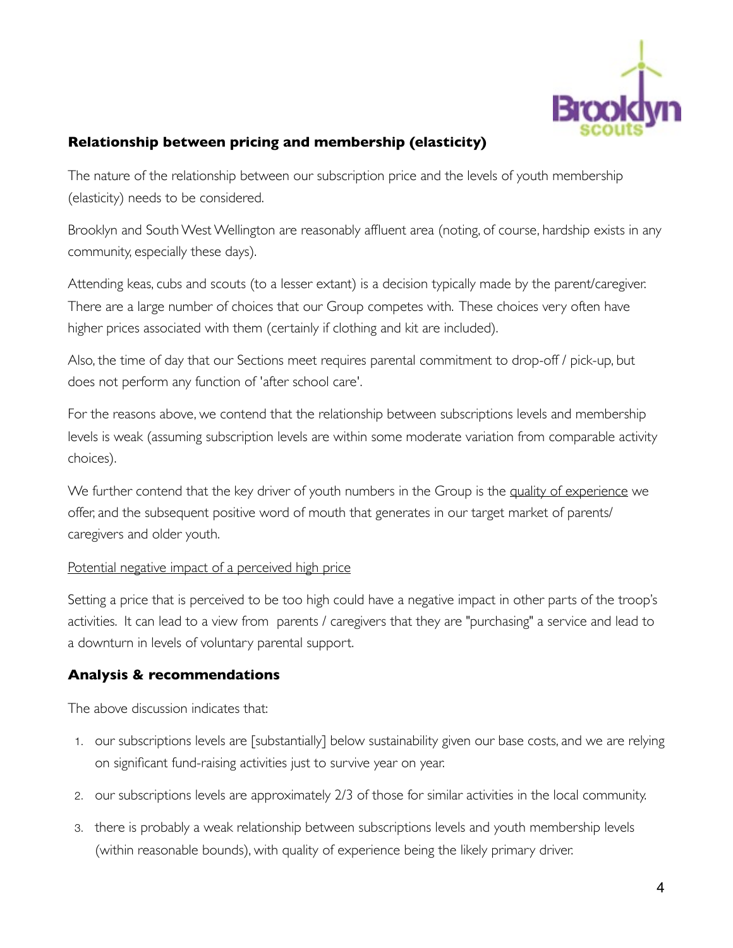

## **Relationship between pricing and membership (elasticity)**

The nature of the relationship between our subscription price and the levels of youth membership (elasticity) needs to be considered.

Brooklyn and South West Wellington are reasonably affluent area (noting, of course, hardship exists in any community, especially these days).

Attending keas, cubs and scouts (to a lesser extant) is a decision typically made by the parent/caregiver. There are a large number of choices that our Group competes with. These choices very often have higher prices associated with them (certainly if clothing and kit are included).

Also, the time of day that our Sections meet requires parental commitment to drop-off / pick-up, but does not perform any function of 'after school care'.

For the reasons above, we contend that the relationship between subscriptions levels and membership levels is weak (assuming subscription levels are within some moderate variation from comparable activity choices).

We further contend that the key driver of youth numbers in the Group is the quality of experience we offer, and the subsequent positive word of mouth that generates in our target market of parents/ caregivers and older youth.

#### Potential negative impact of a perceived high price

Setting a price that is perceived to be too high could have a negative impact in other parts of the troop's activities. It can lead to a view from parents / caregivers that they are "purchasing" a service and lead to a downturn in levels of voluntary parental support.

#### **Analysis & recommendations**

The above discussion indicates that:

- 1. our subscriptions levels are [substantially] below sustainability given our base costs, and we are relying on significant fund-raising activities just to survive year on year.
- 2. our subscriptions levels are approximately 2/3 of those for similar activities in the local community.
- 3. there is probably a weak relationship between subscriptions levels and youth membership levels (within reasonable bounds), with quality of experience being the likely primary driver.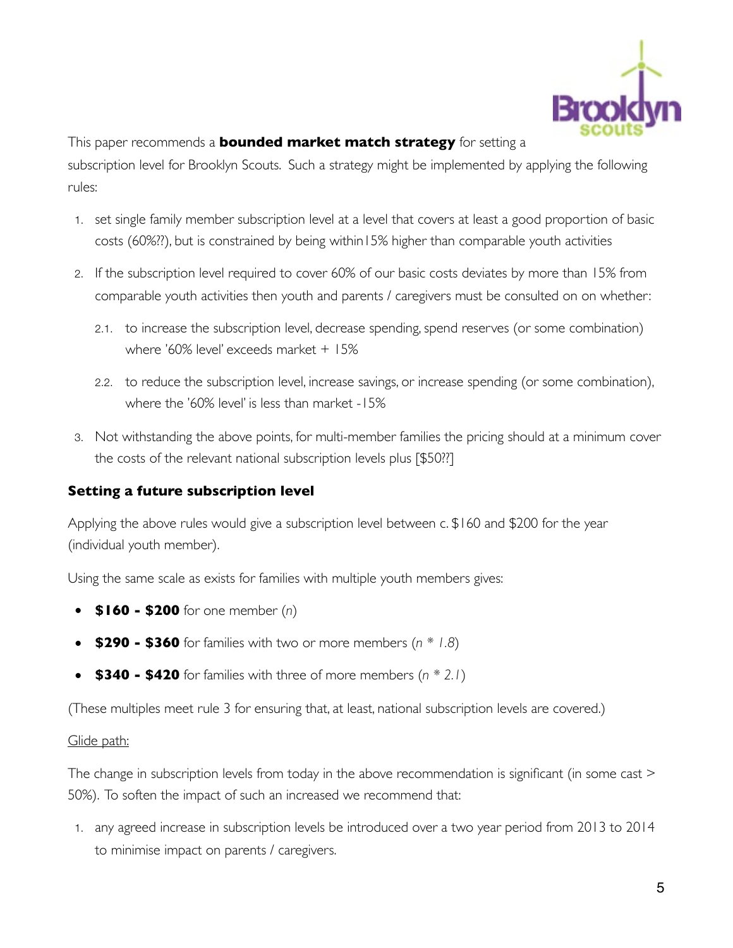

This paper recommends a **bounded market match strategy** for setting a subscription level for Brooklyn Scouts. Such a strategy might be implemented by applying the following rules:

- 1. set single family member subscription level at a level that covers at least a good proportion of basic costs (60%??), but is constrained by being within15% higher than comparable youth activities
- 2. If the subscription level required to cover 60% of our basic costs deviates by more than 15% from comparable youth activities then youth and parents / caregivers must be consulted on on whether:
	- 2.1. to increase the subscription level, decrease spending, spend reserves (or some combination) where '60% level' exceeds market + 15%
	- 2.2. to reduce the subscription level, increase savings, or increase spending (or some combination), where the '60% level' is less than market -15%
- 3. Not withstanding the above points, for multi-member families the pricing should at a minimum cover the costs of the relevant national subscription levels plus [\$50??]

#### **Setting a future subscription level**

Applying the above rules would give a subscription level between c. \$160 and \$200 for the year (individual youth member).

Using the same scale as exists for families with multiple youth members gives:

- **\$160 \$200** for one member (*n*)
- **\$290 \$360** for families with two or more members (*n \* 1.8*)
- **\$340 \$420** for families with three of more members (*n \* 2.1*)

(These multiples meet rule 3 for ensuring that, at least, national subscription levels are covered.)

#### Glide path:

The change in subscription levels from today in the above recommendation is significant (in some cast > 50%). To soften the impact of such an increased we recommend that:

1. any agreed increase in subscription levels be introduced over a two year period from 2013 to 2014 to minimise impact on parents / caregivers.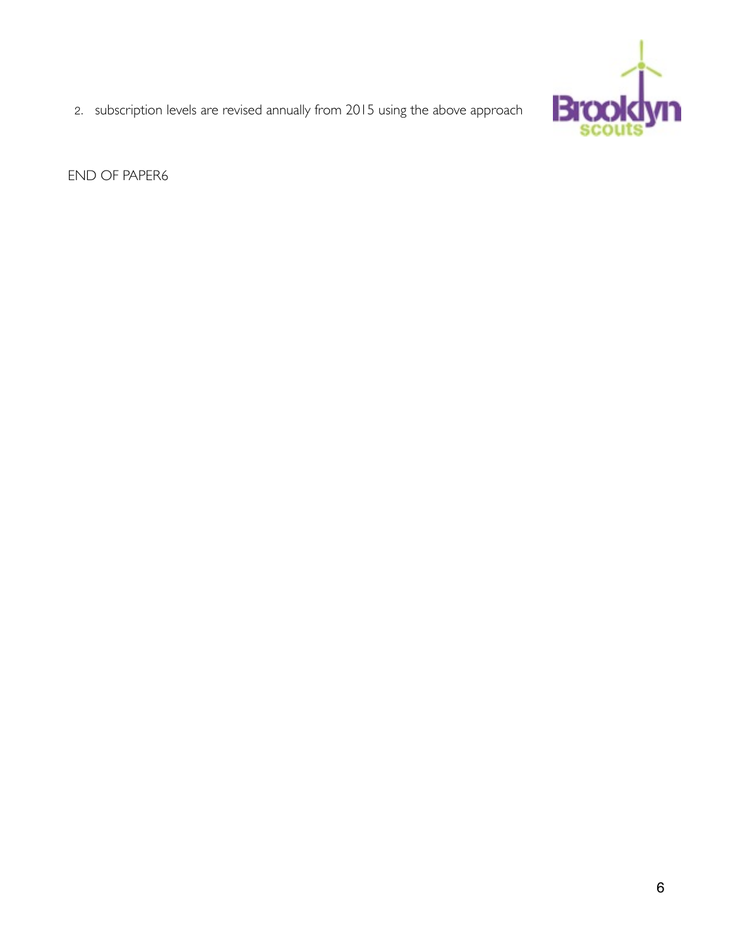

2. subscription levels are revised annually from 2015 using the above approach

END OF PAPER6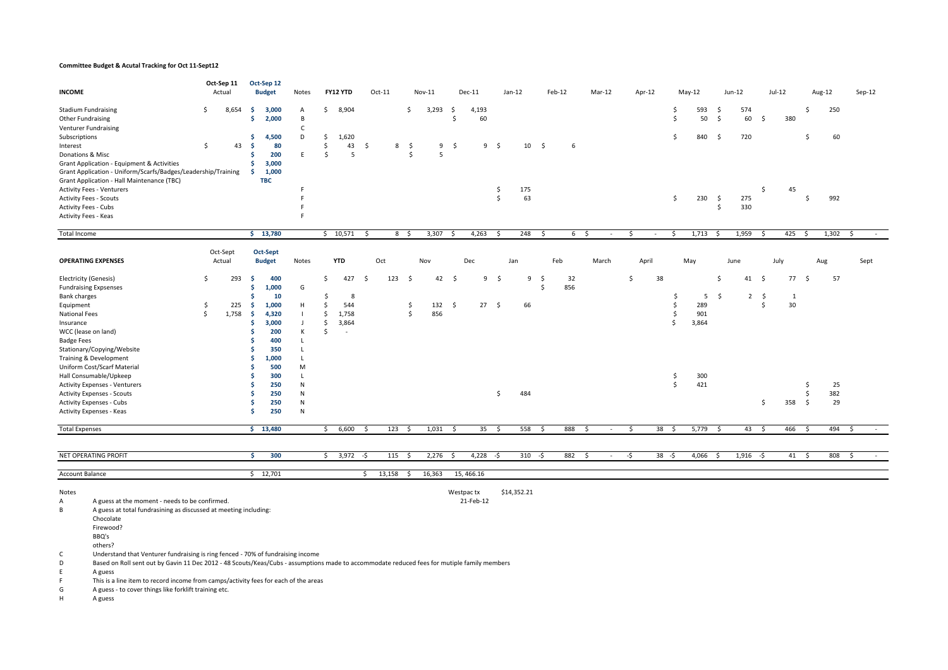#### Committee Budget & Acutal Tracking for Oct 11-Sept12

| <b>INCOME</b>                                                                                                                                                                                                                                                                                                                                                                                                                                                                                                                                                                                                                                                         |                          | Oct-Sep 11<br>Actual |                                        | Oct-Sep 12<br><b>Budget</b>                        | Notes                                           |                            | FY12 YTD                             |              | Oct-11 |                          | Nov-11     |              | $Dec-11$    |          | Jan-12    |          | Feb-12         | Mar-12 |        |                    | Apr-12     |                      | $May-12$                 |                                           | $Jun-12$       |                         | $Jul-12$ |                 | Aug-12          | Sep-12 |
|-----------------------------------------------------------------------------------------------------------------------------------------------------------------------------------------------------------------------------------------------------------------------------------------------------------------------------------------------------------------------------------------------------------------------------------------------------------------------------------------------------------------------------------------------------------------------------------------------------------------------------------------------------------------------|--------------------------|----------------------|----------------------------------------|----------------------------------------------------|-------------------------------------------------|----------------------------|--------------------------------------|--------------|--------|--------------------------|------------|--------------|-------------|----------|-----------|----------|----------------|--------|--------|--------------------|------------|----------------------|--------------------------|-------------------------------------------|----------------|-------------------------|----------|-----------------|-----------------|--------|
| <b>Stadium Fundraising</b><br>Other Fundraising<br>Venturer Fundraising                                                                                                                                                                                                                                                                                                                                                                                                                                                                                                                                                                                               | \$                       | 8,654                | -S<br>Ŝ                                | 3,000<br>2,000                                     | A<br>B<br>c                                     | \$                         | 8,904                                |              |        | \$                       | 3,293      | - \$<br>Ŝ    | 4,193<br>60 |          |           |          |                |        |        |                    |            | \$.<br>\$            | 593<br>50                | $\ddot{\mathsf{S}}$<br>$\mathsf{\hat{S}}$ | 574<br>60      | -\$                     | 380      | \$              | 250             |        |
| Subscriptions<br>Interest<br>Donations & Misc<br>Grant Application - Equipment & Activities<br>Grant Application - Uniform/Scarfs/Badges/Leadership/Training                                                                                                                                                                                                                                                                                                                                                                                                                                                                                                          | -\$                      | 43                   | Ŝ<br>Ŝ<br>\$<br>-S                     | 4,500<br>80<br>200<br>3,000<br>1,000               | D<br>E                                          | \$<br>\$<br>\$             | 1,620<br>43<br>5                     | \$           | 8      | -\$<br>\$                | 9<br>5     | -S           | 9           | - \$     | 10        | - \$     | 6              |        |        |                    |            | Ŝ.                   | 840                      | \$                                        | 720            |                         |          | \$              | 60              |        |
| Grant Application - Hall Maintenance (TBC)<br><b>Activity Fees - Venturers</b><br><b>Activity Fees - Scouts</b><br><b>Activity Fees - Cubs</b><br>Activity Fees - Keas                                                                                                                                                                                                                                                                                                                                                                                                                                                                                                |                          |                      |                                        | <b>TBC</b>                                         | F<br>E<br>F<br>F                                |                            |                                      |              |        |                          |            |              |             | \$<br>\$ | 175<br>63 |          |                |        |        |                    |            | \$                   | 230                      | $\ddot{s}$<br>\$                          | 275<br>330     | \$                      | 45       | \$              | 992             |        |
| Total Income                                                                                                                                                                                                                                                                                                                                                                                                                                                                                                                                                                                                                                                          |                          |                      |                                        | \$13,780                                           |                                                 |                            | \$10,571                             | \$           |        | 8 \$                     | 3,307      | - \$         | 4,263       | S.       | 248       | \$       | 6 <sup>5</sup> |        | $\sim$ | \$                 | $\sim$     | \$                   | $1,713 \quad$ \$         |                                           | 1,959          | S.                      | 425      | \$              | 1,302           | S.     |
| <b>OPERATING EXPENSES</b>                                                                                                                                                                                                                                                                                                                                                                                                                                                                                                                                                                                                                                             |                          | Oct-Sept<br>Actual   |                                        | Oct-Sept<br><b>Budget</b>                          | Notes                                           |                            | <b>YTD</b>                           |              | Oct    |                          | Nov        |              | Dec         |          | Jan       |          | Feb            | March  |        |                    | April      |                      | May                      |                                           | June           |                         | July     |                 | Aug             | Sept   |
| <b>Electricity (Genesis)</b>                                                                                                                                                                                                                                                                                                                                                                                                                                                                                                                                                                                                                                          | -Ś                       | 293                  | -S                                     | 400<br>1,000                                       | G                                               | \$                         | 427                                  | $\mathsf{S}$ | 123    | $\mathsf{S}$             | 42         | $\mathsf{S}$ | 9           | \$       | 9         | -\$<br>Ś | 32<br>856      |        |        | $\mathsf{\hat{S}}$ | 38         |                      |                          | \$                                        | 41             | - \$                    | 77S      |                 | 57              |        |
| <b>Fundraising Expsenses</b><br>Bank charges<br>Equipment<br>National Fees<br>Insurance<br>WCC (lease on land)<br><b>Badge Fees</b><br>Stationary/Copying/Website                                                                                                                                                                                                                                                                                                                                                                                                                                                                                                     | $\ddot{\varsigma}$<br>\$ | 225<br>1,758         | Ŝ<br>-S<br>-\$<br>-\$<br>-S<br>Ŝ<br>.s | 10<br>1,000<br>4,320<br>3,000<br>200<br>400<br>350 | н<br>$\mathbf{J}$<br>К<br>L<br>L                | Ŝ.<br>\$<br>\$<br>\$<br>\$ | 8<br>544<br>1,758<br>3,864<br>$\sim$ |              |        | \$<br>$\mathsf{\hat{S}}$ | 132<br>856 | \$           |             | 27S      | 66        |          |                |        |        |                    |            | \$<br>\$<br>\$<br>\$ | 5<br>289<br>901<br>3,864 | \$                                        | $\overline{2}$ | $\ddot{\varsigma}$<br>Ś | 1<br>30  |                 |                 |        |
| Training & Development<br>Uniform Cost/Scarf Material<br>Hall Consumable/Upkeep<br><b>Activity Expenses - Venturers</b><br><b>Activity Expenses - Scouts</b><br><b>Activity Expenses - Cubs</b><br>Activity Expenses - Keas                                                                                                                                                                                                                                                                                                                                                                                                                                           |                          |                      | -S<br>Ŝ<br>-S<br>Ŝ<br>Ŝ<br>.s<br>Ŝ     | 1,000<br>500<br>300<br>250<br>250<br>250<br>250    | L.<br>M<br><b>L</b><br>N<br>N<br>N<br>${\sf N}$ |                            |                                      |              |        |                          |            |              |             | \$       | 484       |          |                |        |        |                    |            | \$<br>Ŝ.             | 300<br>421               |                                           |                | \$                      | 358      | \$<br>Ŝ.<br>-\$ | 25<br>382<br>29 |        |
| <b>Total Expenses</b>                                                                                                                                                                                                                                                                                                                                                                                                                                                                                                                                                                                                                                                 |                          |                      |                                        | \$13,480                                           |                                                 | \$                         | 6,600                                | S.           | 123    | \$                       | 1,031      | - \$         | 35          | - \$     | 558       | - \$     | 888            | -\$    | $\sim$ | $\mathsf{S}$       | $38 \quad$ |                      | 5,779                    | \$                                        | 43             | - \$                    | 466      | \$              | 494             | Ŝ.     |
| NET OPERATING PROFIT                                                                                                                                                                                                                                                                                                                                                                                                                                                                                                                                                                                                                                                  |                          |                      | \$                                     | 300                                                |                                                 |                            | $$3,972$ -\$                         |              | 115    | S.                       | $2,276$ \$ |              | $4,228 - 5$ |          | $310 - 5$ |          | 882 \$         |        | $\sim$ | -\$                | $38 - 5$   |                      | 4,066                    | \$                                        | $1,916 - $$    |                         |          | $41 \quad$      | 808 \$          | $\sim$ |
| Account Balance                                                                                                                                                                                                                                                                                                                                                                                                                                                                                                                                                                                                                                                       |                          |                      |                                        | \$12,701                                           |                                                 |                            |                                      | \$           | 13,158 | $\ddot{\mathsf{S}}$      | 16,363     |              | 15, 466.16  |          |           |          |                |        |        |                    |            |                      |                          |                                           |                |                         |          |                 |                 |        |
| \$14,352.21<br>Notes<br>Westpac tx<br>A guess at the moment - needs to be confirmed.<br>21-Feb-12<br>A<br>В<br>A guess at total fundrasining as discussed at meeting including:<br>Chocolate<br>Firewood?<br>BBQ's<br>others?<br>C<br>Understand that Venturer fundraising is ring fenced - 70% of fundraising income<br>D<br>Based on Roll sent out by Gavin 11 Dec 2012 - 48 Scouts/Keas/Cubs - assumptions made to accommodate reduced fees for mutiple family members<br>E.<br>A guess<br>F.<br>This is a line item to record income from camps/activity fees for each of the areas<br>G<br>A guess - to cover things like forklift training etc.<br>н<br>A guess |                          |                      |                                        |                                                    |                                                 |                            |                                      |              |        |                          |            |              |             |          |           |          |                |        |        |                    |            |                      |                          |                                           |                |                         |          |                 |                 |        |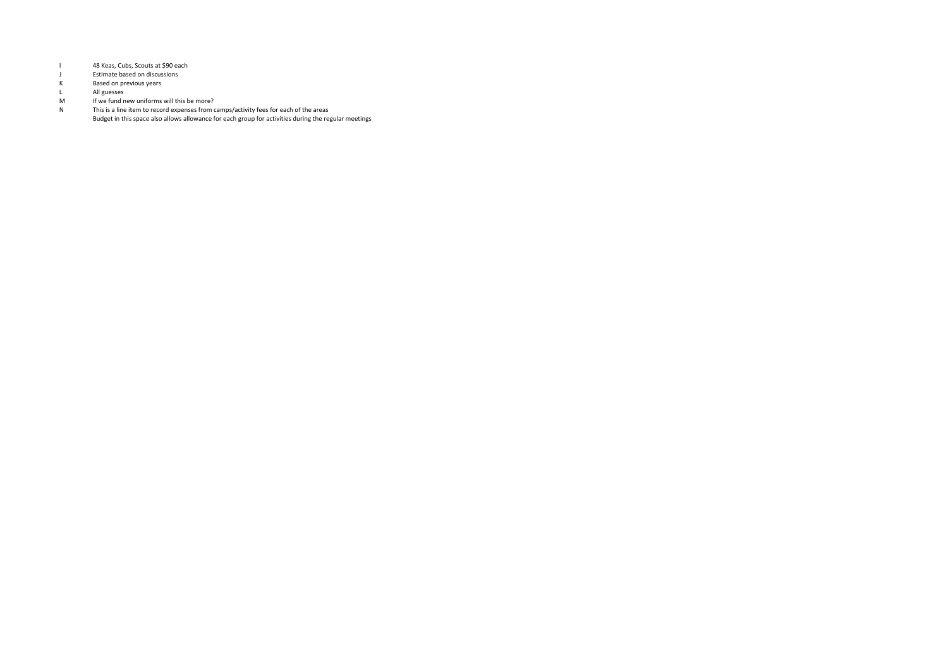- I 48 Keas, Cubs, Scouts at \$90 each<br>J Fstimate based on discussions
- J Estimate based on discussions<br>K Based on previous vears
- k<br>
K Based on previous years<br>
L All guesses
- L<br>
M
Buesses<br>
M
If we fund n
- M If we fund new uniforms will this be more?<br>N This is a line item to record expenses from c
- N> This>is>a>line>item>to>record>expenses>from>camps/activity>fees>for>each>of>the>areas> Budget>in>this>space>also>allows>allowance>for>each>group>for>activities>during>the>regular>meetings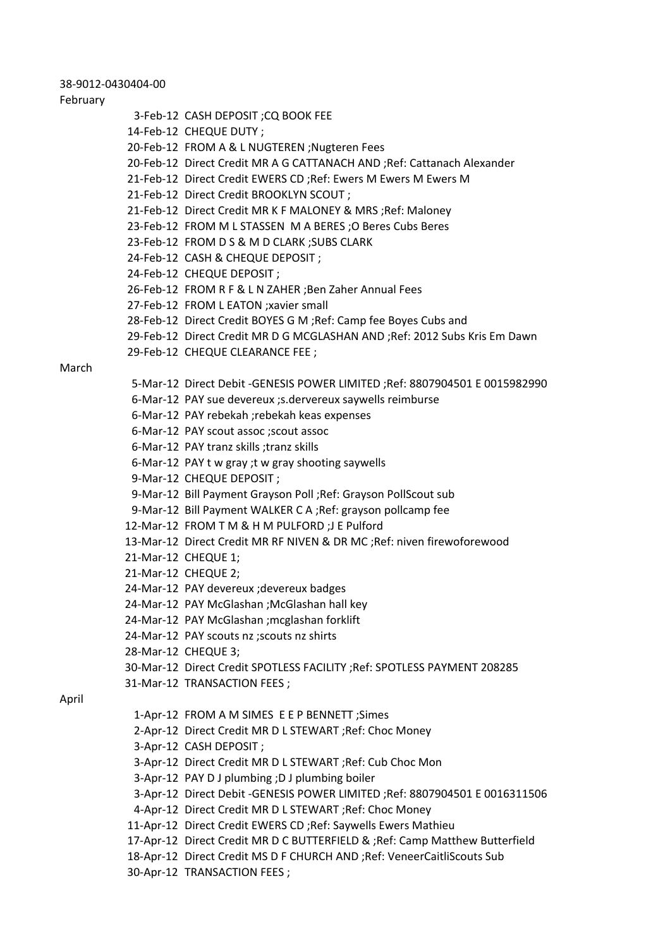#### 38-9012-0430404-00

#### February

- 3-Feb-12 CASH DEPOSIT ;CQ BOOK FEE
- 14-Feb-12 CHEQUE DUTY:
- 20-Feb-12 FROM A & L NUGTEREN ;Nugteren Fees
- 20-Feb-12 Direct Credit MR A G CATTANACH AND ;Ref: Cattanach Alexander
- 21-Feb-12 Direct Credit EWERS CD ;Ref: Ewers M Ewers M Ewers M
- 21-Feb-12 Direct Credit BROOKLYN SCOUT:
- 21-Feb-12 Direct Credit MR K F MALONEY & MRS ;Ref: Maloney
- 23-Feb-12 FROM M L STASSEN M A BERES ;O Beres Cubs Beres
- 23-Feb-12 FROM D S & M D CLARK : SUBS CLARK
- 24-Feb-12 CASH & CHEQUE DEPOSIT;
- 24-Feb-12 CHEQUE DEPOSIT;
- 26-Feb-12 FROM R F & L N ZAHER ;Ben Zaher Annual Fees
- 27-Feb-12 FROM L EATON ; xavier small
- 28-Feb-12 Direct Credit BOYES G M ;Ref: Camp fee Boyes Cubs and
- 29-Feb-12 Direct Credit MR D G MCGLASHAN AND ;Ref: 2012 Subs Kris Em Dawn
- 29-Feb-12 CHEQUE CLEARANCE FEE;

#### March

- 5-Mar-12 Direct Debit -GENESIS POWER LIMITED ;Ref: 8807904501 E 0015982990
- 6-Mar-12 PAY sue devereux ;s.dervereux saywells reimburse
- 6-Mar-12 PAY rebekah ;rebekah keas expenses
- 6-Mar-12 PAY scout assoc : scout assoc
- 6-Mar-12 PAY tranz skills ;tranz skills
- 6-Mar-12 PAY t w gray; t w gray shooting saywells
- 9-Mar-12 CHEQUE DEPOSIT;
- 9-Mar-12 Bill Payment Grayson Poll ;Ref: Grayson PollScout sub
- 9-Mar-12 Bill Payment WALKER C A ;Ref: grayson pollcamp fee
- 12-Mar-12 FROM T M & H M PULFORD ;J E Pulford
- 13-Mar-12 Direct Credit MR RF NIVEN & DR MC ;Ref: niven firewoforewood
- 21-Mar-12 CHEQUE 1;
- 21-Mar-12 CHEQUE 2;
- 24-Mar-12 PAY devereux ;devereux badges
- 24-Mar-12 PAY McGlashan ;McGlashan hall key
- 24-Mar-12 PAY McGlashan ;mcglashan forklift
- 24-Mar-12 PAY scouts nz ;scouts nz shirts
- 28-Mar-12 CHEQUE 3;
- 30-Mar-12 Direct Credit SPOTLESS FACILITY ;Ref: SPOTLESS PAYMENT 208285
- 31-Mar-12 TRANSACTION FEES;

#### April

- 1-Apr-12 FROM A M SIMES E E P BENNETT; Simes
- 2-Apr-12 Direct Credit MR D L STEWART ;Ref: Choc Money
- 3-Apr-12 CASH DEPOSIT ;
- 3-Apr-12 Direct Credit MR D L STEWART ;Ref: Cub Choc Mon
- 3-Apr-12 PAY D J plumbing ;D J plumbing boiler
- 3-Apr-12 Direct Debit -GENESIS POWER LIMITED ;Ref: 8807904501 E 0016311506
- 4-Apr-12 Direct Credit MR D L STEWART; Ref: Choc Money
- 11-Apr-12 Direct Credit EWERS CD ;Ref: Saywells Ewers Mathieu
- 17-Apr-12 Direct Credit MR D C BUTTERFIELD & ;Ref: Camp Matthew Butterfield
- 18-Apr-12 Direct Credit MS D F CHURCH AND ;Ref: VeneerCaitliScouts Sub
- 30-Apr-12 TRANSACTION FEES;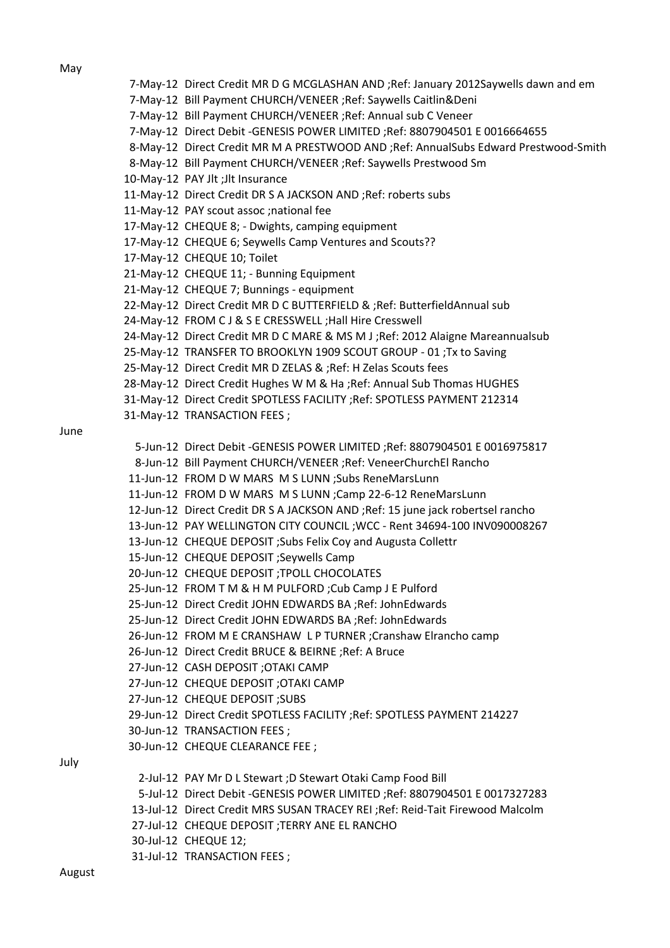May

June

|  | 7-May-12 Direct Credit MR D G MCGLASHAN AND ; Ref: January 2012Saywells dawn and em  |
|--|--------------------------------------------------------------------------------------|
|  | 7-May-12 Bill Payment CHURCH/VENEER ; Ref: Saywells Caitlin&Deni                     |
|  | 7-May-12 Bill Payment CHURCH/VENEER ; Ref: Annual sub C Veneer                       |
|  | 7-May-12 Direct Debit -GENESIS POWER LIMITED ;Ref: 8807904501 E 0016664655           |
|  | 8-May-12 Direct Credit MR M A PRESTWOOD AND ; Ref: AnnualSubs Edward Prestwood-Smith |
|  | 8-May-12 Bill Payment CHURCH/VENEER ; Ref: Saywells Prestwood Sm                     |
|  | 10-May-12 PAY Jlt ;Jlt Insurance                                                     |
|  | 11-May-12 Direct Credit DR S A JACKSON AND ; Ref: roberts subs                       |
|  | 11-May-12 PAY scout assoc ; national fee                                             |
|  | 17-May-12 CHEQUE 8; - Dwights, camping equipment                                     |
|  | 17-May-12 CHEQUE 6; Seywells Camp Ventures and Scouts??                              |
|  | 17-May-12 CHEQUE 10; Toilet                                                          |
|  | 21-May-12 CHEQUE 11; - Bunning Equipment                                             |
|  | 21-May-12 CHEQUE 7; Bunnings - equipment                                             |
|  | 22-May-12 Direct Credit MR D C BUTTERFIELD & ; Ref: Butterfield Annual sub           |
|  | 24-May-12 FROM CJ & S E CRESSWELL ; Hall Hire Cresswell                              |
|  | 24-May-12 Direct Credit MR D C MARE & MS M J ; Ref: 2012 Alaigne Mareannualsub       |
|  | 25-May-12 TRANSFER TO BROOKLYN 1909 SCOUT GROUP - 01 ; Tx to Saving                  |
|  | 25-May-12 Direct Credit MR D ZELAS & ; Ref: H Zelas Scouts fees                      |
|  | 28-May-12 Direct Credit Hughes W M & Ha ; Ref: Annual Sub Thomas HUGHES              |
|  | 31-May-12 Direct Credit SPOTLESS FACILITY ; Ref: SPOTLESS PAYMENT 212314             |
|  | 31-May-12 TRANSACTION FEES;                                                          |
|  | 5-Jun-12 Direct Debit -GENESIS POWER LIMITED ;Ref: 8807904501 E 0016975817           |
|  | 8-Jun-12 Bill Payment CHURCH/VENEER ; Ref: VeneerChurchEl Rancho                     |
|  | 11-Jun-12 FROM D W MARS M S LUNN ; Subs ReneMarsLunn                                 |
|  | 11-Jun-12 FROM D W MARS M S LUNN ; Camp 22-6-12 ReneMarsLunn                         |
|  | 12-Jun-12 Direct Credit DR S A JACKSON AND ; Ref: 15 june jack robertsel rancho      |
|  | 13-Jun-12 PAY WELLINGTON CITY COUNCIL ; WCC - Rent 34694-100 INV090008267            |
|  | 13-Jun-12 CHEQUE DEPOSIT ; Subs Felix Coy and Augusta Collettr                       |
|  | Seywells Camp: 15-Jun-12 CHEQUE DEPOSIT                                              |
|  | 20-Jun-12 CHEQUE DEPOSIT ; TPOLL CHOCOLATES                                          |
|  | 25-Jun-12 FROM T M & H M PULFORD ; Cub Camp J E Pulford                              |
|  | 25-Jun-12 Direct Credit JOHN EDWARDS BA ; Ref: JohnEdwards                           |
|  | 25-Jun-12 Direct Credit JOHN EDWARDS BA ; Ref: John Edwards                          |
|  | 26-Jun-12 FROM M E CRANSHAW L P TURNER ; Cranshaw Elrancho camp                      |
|  | 26-Jun-12 Direct Credit BRUCE & BEIRNE ; Ref: A Bruce                                |
|  | 27-Jun-12 CASH DEPOSIT ; OTAKI CAMP                                                  |
|  | 27-Jun-12 CHEQUE DEPOSIT ; OTAKI CAMP                                                |
|  | 27-Jun-12 CHEQUE DEPOSIT ; SUBS                                                      |
|  | 29-Jun-12 Direct Credit SPOTLESS FACILITY ; Ref: SPOTLESS PAYMENT 214227             |
|  | 30-Jun-12 TRANSACTION FEES;                                                          |
|  | 30-Jun-12 CHEQUE CLEARANCE FEE ;                                                     |
|  | 2-Jul-12 PAY Mr D L Stewart ; D Stewart Otaki Camp Food Bill                         |
|  | 5-Jul-12 Direct Debit -GENESIS POWER LIMITED ;Ref: 8807904501 E 0017327283           |
|  | 13-Jul-12 Direct Credit MRS SUSAN TRACEY REI ; Ref: Reid-Tait Firewood Malcolm       |
|  | 27-Jul-12 CHEQUE DEPOSIT ; TERRY ANE EL RANCHO                                       |
|  | 30-Jul-12 CHEQUE 12;                                                                 |
|  | 31-Jul-12 TRANSACTION FEES;                                                          |

August

July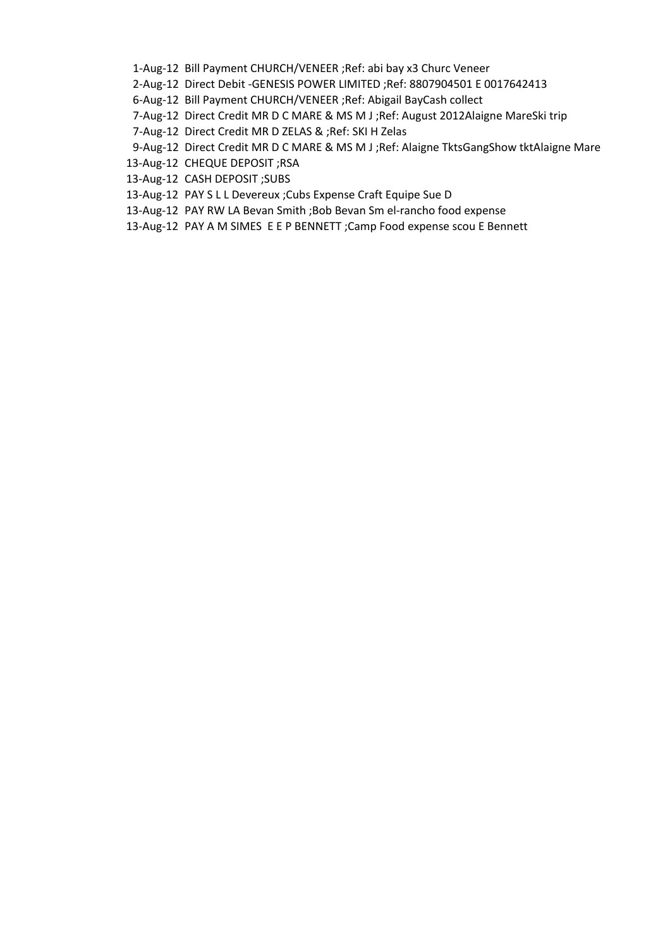- 1-Aug-12 Bill Payment CHURCH/VENEER; Ref: abi bay x3 Churc Veneer
- 2-Aug-12 Direct Debit -GENESIS POWER LIMITED ;Ref: 8807904501 E 0017642413
- 6-Aug-12 Bill Payment CHURCH/VENEER ;Ref: Abigail BayCash collect
- 7-Aug-12 Direct Credit MR D C MARE & MS M J ;Ref: August 2012Alaigne MareSki trip
- 7-Aug-12 Direct Credit MR D ZELAS & ;Ref: SKI H Zelas
- 9-Aug-12 Direct Credit MR D C MARE & MS M J ; Ref: Alaigne TktsGangShow tktAlaigne Mare
- 13-Aug-12 CHEQUE DEPOSIT ;RSA
- 13-Aug-12 CASH DEPOSIT ;SUBS
- 13-Aug-12 PAY SLL Devereux ;Cubs Expense Craft Equipe Sue D
- 13-Aug-12 PAY RW LA Bevan Smith ;Bob Bevan Sm el-rancho food expense
- 13-Aug-12 PAY A M SIMES E E P BENNETT ; Camp Food expense scou E Bennett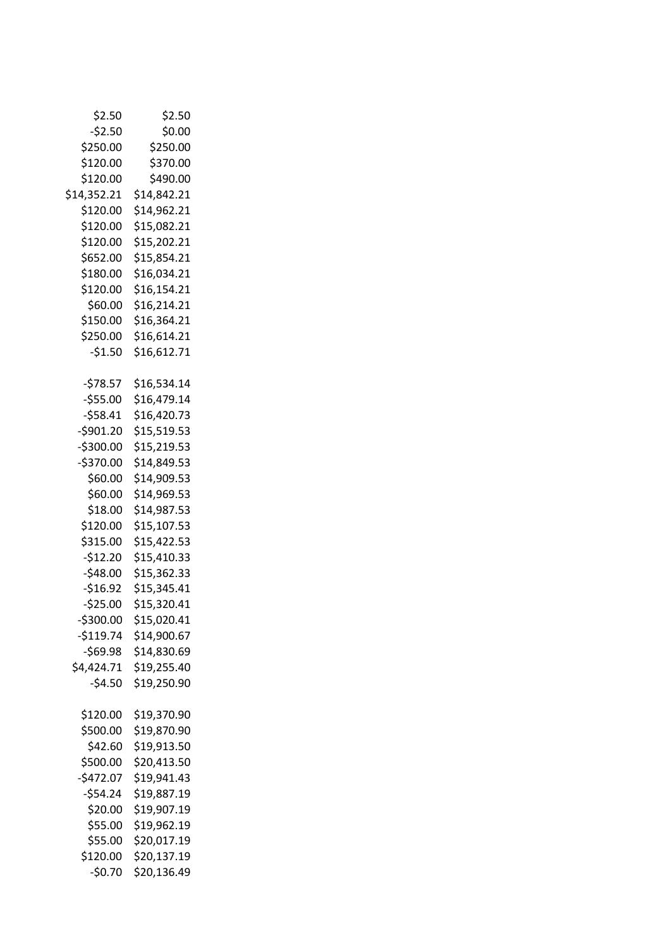| \$2.50      | \$2.50      |
|-------------|-------------|
| $-52.50$    | \$0.00      |
| \$250.00    | \$250.00    |
| \$120.00    | \$370.00    |
| \$120.00    | \$490.00    |
| \$14,352.21 | \$14,842.21 |
| \$120.00    | \$14,962.21 |
| \$120.00    | \$15,082.21 |
| \$120.00    | \$15,202.21 |
| \$652.00    | \$15,854.21 |
| \$180.00    | \$16,034.21 |
| \$120.00    | \$16,154.21 |
| \$60.00     | \$16,214.21 |
| \$150.00    | \$16,364.21 |
| \$250.00    | \$16,614.21 |
| $-51.50$    | \$16,612.71 |
|             |             |
| $-578.57$   | \$16,534.14 |
| $-555.00$   | \$16,479.14 |
| $-558.41$   | \$16,420.73 |
| -\$901.20   | \$15,519.53 |
| $-$300.00$  | \$15,219.53 |
| $-$370.00$  | \$14,849.53 |
| \$60.00     | \$14,909.53 |
| \$60.00     | \$14,969.53 |
|             | \$14,987.53 |
| \$18.00     |             |
| \$120.00    | \$15,107.53 |
| \$315.00    | \$15,422.53 |
| $-$12.20$   | \$15,410.33 |
| $-$48.00$   | \$15,362.33 |
| $-$16.92$   | \$15,345.41 |
| $-525.00$   | \$15,320.41 |
| -\$300.00   | \$15,020.41 |
| $-$119.74$  | \$14,900.67 |
| $-569.98$   | \$14,830.69 |
| \$4,424.71  | \$19,255.40 |
| $-54.50$    | \$19,250.90 |
|             |             |
| \$120.00    | \$19,370.90 |
| \$500.00    | \$19,870.90 |
| \$42.60     | \$19,913.50 |
| \$500.00    | \$20,413.50 |
| $-5472.07$  | \$19,941.43 |
| $-554.24$   | \$19,887.19 |
| \$20.00     | \$19,907.19 |
| \$55.00     | \$19,962.19 |
| \$55.00     | \$20,017.19 |
| \$120.00    | \$20,137.19 |
| $-50.70$    | \$20,136.49 |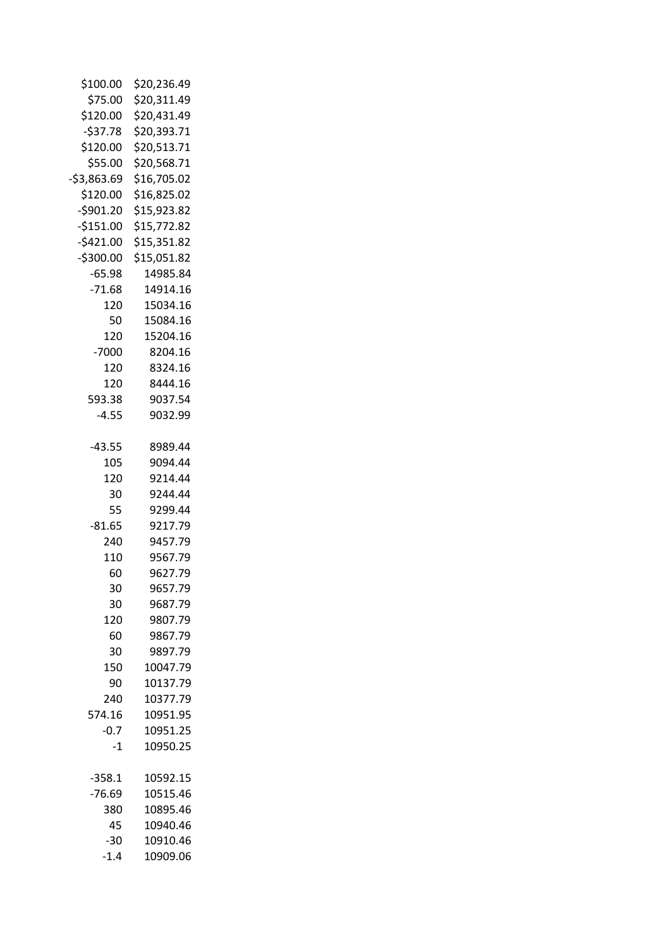| \$100.00     | \$20,236.49 |
|--------------|-------------|
| \$75.00      | \$20,311.49 |
| \$120.00     | \$20,431.49 |
| $-537.78$    | \$20,393.71 |
| \$120.00     | \$20,513.71 |
| \$55.00      | \$20,568.71 |
| $-53,863.69$ | \$16,705.02 |
| \$120.00     | \$16,825.02 |
| $-5901.20$   | \$15,923.82 |
|              |             |
| $-$151.00$   | \$15,772.82 |
| $-5421.00$   | \$15,351.82 |
| $-5300.00$   | \$15,051.82 |
| $-65.98$     | 14985.84    |
| $-71.68$     | 14914.16    |
| 120          | 15034.16    |
| 50           | 15084.16    |
| 120          | 15204.16    |
| $-7000$      | 8204.16     |
| 120          | 8324.16     |
| 120          | 8444.16     |
| 593.38       | 9037.54     |
| $-4.55$      | 9032.99     |
|              |             |
| $-43.55$     | 8989.44     |
| 105          | 9094.44     |
| 120          | 9214.44     |
| 30           | 9244.44     |
| 55           | 9299.44     |
| $-81.65$     | 9217.79     |
| 240          | 9457.79     |
| 110          | 9567.79     |
| 60           | 9627.79     |
|              |             |
| 30           | 9657.79     |
| 30           | 9687.79     |
| 120          | 9807.79     |
| 60           | 9867.79     |
| 30           | 9897.79     |
| 150          | 10047.79    |
| 90           | 10137.79    |
| 240          | 10377.79    |
| 574.16       | 10951.95    |
| $-0.7$       | 10951.25    |
| $-1$         | 10950.25    |
|              |             |
| $-358.1$     | 10592.15    |
| $-76.69$     | 10515.46    |
| 380          | 10895.46    |
| 45           | 10940.46    |
| -30          | 10910.46    |
| $-1.4$       | 10909.06    |